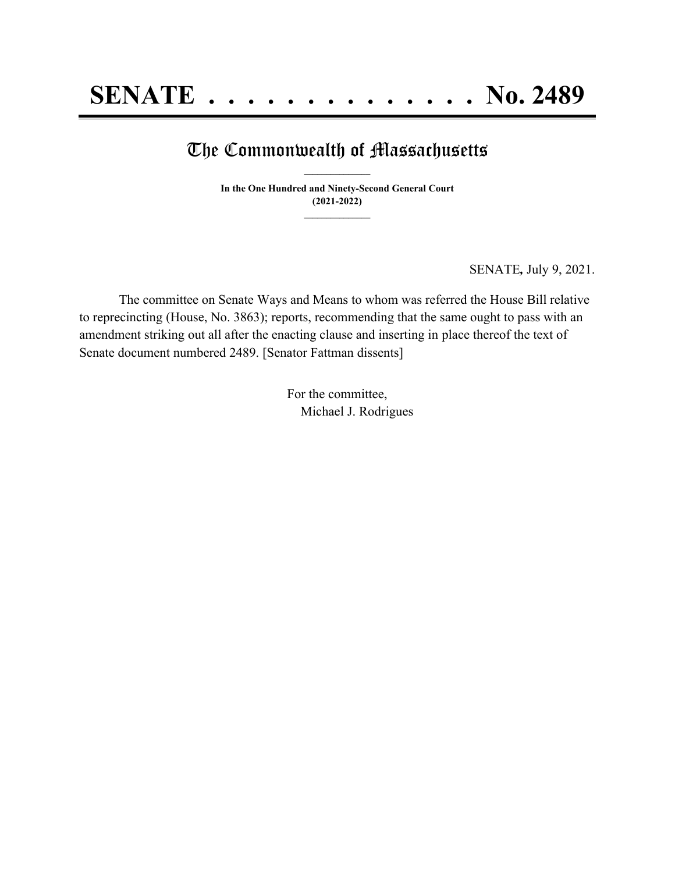## The Commonwealth of Massachusetts **\_\_\_\_\_\_\_\_\_\_\_\_\_\_\_**

**In the One Hundred and Ninety-Second General Court (2021-2022) \_\_\_\_\_\_\_\_\_\_\_\_\_\_\_**

SENATE*,* July 9, 2021.

The committee on Senate Ways and Means to whom was referred the House Bill relative to reprecincting (House, No. 3863); reports, recommending that the same ought to pass with an amendment striking out all after the enacting clause and inserting in place thereof the text of Senate document numbered 2489. [Senator Fattman dissents]

> For the committee, Michael J. Rodrigues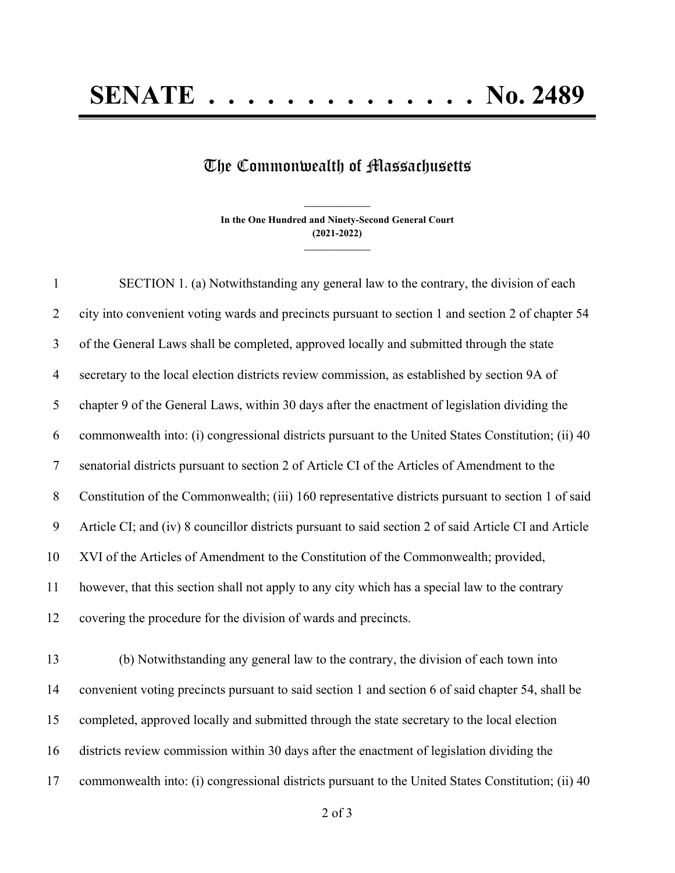## The Commonwealth of Massachusetts

**In the One Hundred and Ninety-Second General Court (2021-2022) \_\_\_\_\_\_\_\_\_\_\_\_\_\_\_**

**\_\_\_\_\_\_\_\_\_\_\_\_\_\_\_**

 SECTION 1. (a) Notwithstanding any general law to the contrary, the division of each city into convenient voting wards and precincts pursuant to section 1 and section 2 of chapter 54 of the General Laws shall be completed, approved locally and submitted through the state secretary to the local election districts review commission, as established by section 9A of chapter 9 of the General Laws, within 30 days after the enactment of legislation dividing the commonwealth into: (i) congressional districts pursuant to the United States Constitution; (ii) 40 senatorial districts pursuant to section 2 of Article CI of the Articles of Amendment to the Constitution of the Commonwealth; (iii) 160 representative districts pursuant to section 1 of said Article CI; and (iv) 8 councillor districts pursuant to said section 2 of said Article CI and Article XVI of the Articles of Amendment to the Constitution of the Commonwealth; provided, however, that this section shall not apply to any city which has a special law to the contrary covering the procedure for the division of wards and precincts.

 (b) Notwithstanding any general law to the contrary, the division of each town into convenient voting precincts pursuant to said section 1 and section 6 of said chapter 54, shall be completed, approved locally and submitted through the state secretary to the local election districts review commission within 30 days after the enactment of legislation dividing the commonwealth into: (i) congressional districts pursuant to the United States Constitution; (ii) 40

of 3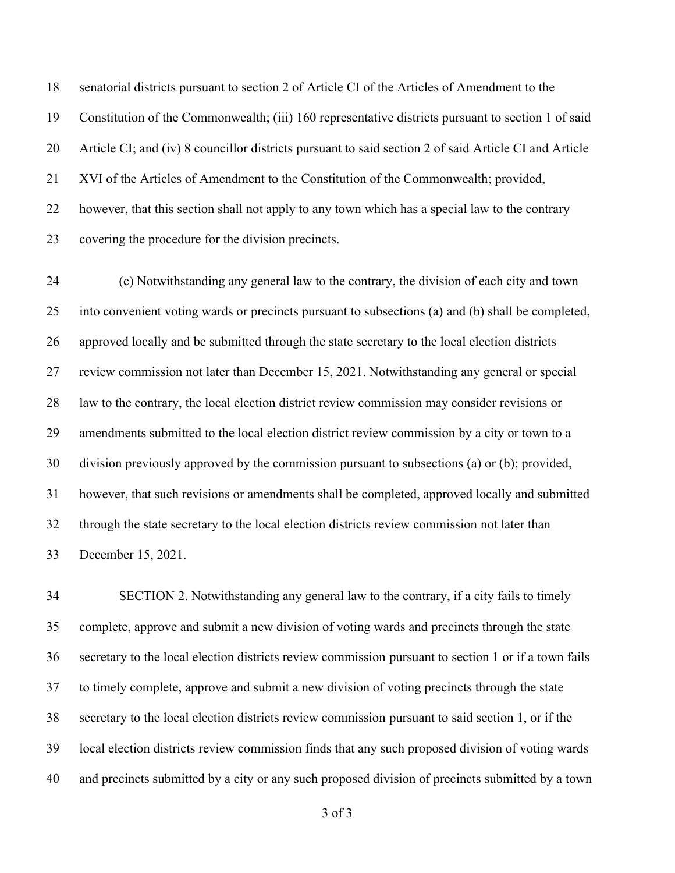senatorial districts pursuant to section 2 of Article CI of the Articles of Amendment to the Constitution of the Commonwealth; (iii) 160 representative districts pursuant to section 1 of said Article CI; and (iv) 8 councillor districts pursuant to said section 2 of said Article CI and Article XVI of the Articles of Amendment to the Constitution of the Commonwealth; provided, however, that this section shall not apply to any town which has a special law to the contrary covering the procedure for the division precincts.

 (c) Notwithstanding any general law to the contrary, the division of each city and town into convenient voting wards or precincts pursuant to subsections (a) and (b) shall be completed, approved locally and be submitted through the state secretary to the local election districts review commission not later than December 15, 2021. Notwithstanding any general or special law to the contrary, the local election district review commission may consider revisions or amendments submitted to the local election district review commission by a city or town to a division previously approved by the commission pursuant to subsections (a) or (b); provided, however, that such revisions or amendments shall be completed, approved locally and submitted through the state secretary to the local election districts review commission not later than December 15, 2021.

 SECTION 2. Notwithstanding any general law to the contrary, if a city fails to timely complete, approve and submit a new division of voting wards and precincts through the state secretary to the local election districts review commission pursuant to section 1 or if a town fails to timely complete, approve and submit a new division of voting precincts through the state secretary to the local election districts review commission pursuant to said section 1, or if the local election districts review commission finds that any such proposed division of voting wards and precincts submitted by a city or any such proposed division of precincts submitted by a town

of 3